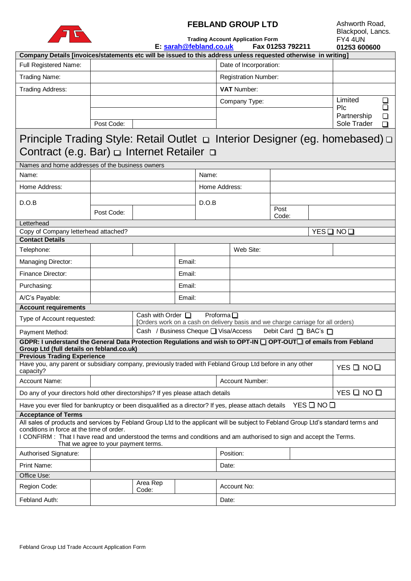

# **FEBLAND GROUP LTD**

| Ashworth Road.    |
|-------------------|
| Blackpool, Lancs. |
| <b>FY4 4UN</b>    |
| 01253 600600      |

**Trading Account Application Form E: [sarah@febland.co.uk](mailto:sarah@febland.co.uk) Fax 01253 792211**

| Company Details [invoices/statements etc will be issued to this address unless requested otherwise in writing]                                                   |            |                                                                                                                                 |        |  |                        |                             |             |   |            |                    |        |
|------------------------------------------------------------------------------------------------------------------------------------------------------------------|------------|---------------------------------------------------------------------------------------------------------------------------------|--------|--|------------------------|-----------------------------|-------------|---|------------|--------------------|--------|
| Full Registered Name:                                                                                                                                            |            |                                                                                                                                 |        |  | Date of Incorporation: |                             |             |   |            |                    |        |
| Trading Name:                                                                                                                                                    |            |                                                                                                                                 |        |  |                        | <b>Registration Number:</b> |             |   |            |                    |        |
| Trading Address:                                                                                                                                                 |            |                                                                                                                                 |        |  |                        | <b>VAT Number:</b>          |             |   |            |                    |        |
|                                                                                                                                                                  |            |                                                                                                                                 |        |  | Company Type:          |                             |             |   |            | Limited            | ⊔      |
|                                                                                                                                                                  |            |                                                                                                                                 |        |  |                        |                             |             |   |            | Plc<br>Partnership | □<br>❏ |
|                                                                                                                                                                  | Post Code: |                                                                                                                                 |        |  |                        |                             | Sole Trader | О |            |                    |        |
| Principle Trading Style: Retail Outlet □ Interior Designer (eg. homebased) □                                                                                     |            |                                                                                                                                 |        |  |                        |                             |             |   |            |                    |        |
| Contract (e.g. Bar) $\Box$ Internet Retailer $\Box$                                                                                                              |            |                                                                                                                                 |        |  |                        |                             |             |   |            |                    |        |
| Names and home addresses of the business owners                                                                                                                  |            |                                                                                                                                 |        |  |                        |                             |             |   |            |                    |        |
| Name:                                                                                                                                                            | Name:      |                                                                                                                                 |        |  |                        |                             |             |   |            |                    |        |
| Home Address:                                                                                                                                                    |            |                                                                                                                                 |        |  | Home Address:          |                             |             |   |            |                    |        |
|                                                                                                                                                                  |            |                                                                                                                                 |        |  |                        |                             |             |   |            |                    |        |
| D.O.B                                                                                                                                                            | Post Code: | D.O.B                                                                                                                           |        |  |                        |                             | Post        |   |            |                    |        |
|                                                                                                                                                                  |            |                                                                                                                                 |        |  |                        | Code:                       |             |   |            |                    |        |
| Letterhead<br>Copy of Company letterhead attached?<br>YES ON NO O                                                                                                |            |                                                                                                                                 |        |  |                        |                             |             |   |            |                    |        |
| <b>Contact Details</b>                                                                                                                                           |            |                                                                                                                                 |        |  |                        |                             |             |   |            |                    |        |
| Telephone:                                                                                                                                                       |            |                                                                                                                                 |        |  | Web Site:              |                             |             |   |            |                    |        |
| Managing Director:                                                                                                                                               | Email:     |                                                                                                                                 |        |  |                        |                             |             |   |            |                    |        |
| <b>Finance Director:</b>                                                                                                                                         | Email:     |                                                                                                                                 |        |  |                        |                             |             |   |            |                    |        |
| Purchasing:                                                                                                                                                      |            |                                                                                                                                 | Email: |  |                        |                             |             |   |            |                    |        |
| A/C's Payable:                                                                                                                                                   |            |                                                                                                                                 | Email: |  |                        |                             |             |   |            |                    |        |
| <b>Account requirements</b>                                                                                                                                      |            |                                                                                                                                 |        |  |                        |                             |             |   |            |                    |        |
| Type of Account requested:                                                                                                                                       |            | Cash with Order $\Box$<br>Proforma $\square$<br>[Orders work on a cash on delivery basis and we charge carriage for all orders) |        |  |                        |                             |             |   |            |                    |        |
| Payment Method:                                                                                                                                                  |            | Cash / Business Cheque □ Visa/Access<br>Debit Card □ BAC's □                                                                    |        |  |                        |                             |             |   |            |                    |        |
| GDPR: I understand the General Data Protection Regulations and wish to OPT-IN O OPT-OUTO of emails from Febland                                                  |            |                                                                                                                                 |        |  |                        |                             |             |   |            |                    |        |
| Group Ltd (full details on febland.co.uk)<br><b>Previous Trading Experience</b>                                                                                  |            |                                                                                                                                 |        |  |                        |                             |             |   |            |                    |        |
| Have you, any parent or subsidiary company, previously traded with Febland Group Ltd before in any other<br>YES O NOO                                            |            |                                                                                                                                 |        |  |                        |                             |             |   |            |                    |        |
| capacity?<br>Account Name:                                                                                                                                       |            |                                                                                                                                 |        |  | Account Number:        |                             |             |   |            |                    |        |
| Do any of your directors hold other directorships? If yes please attach details                                                                                  |            |                                                                                                                                 |        |  |                        |                             |             |   | YES Q NO Q |                    |        |
| Have you ever filed for bankruptcy or been disqualified as a director? If yes, please attach details<br>YES ON NO O                                              |            |                                                                                                                                 |        |  |                        |                             |             |   |            |                    |        |
| <b>Acceptance of Terms</b>                                                                                                                                       |            |                                                                                                                                 |        |  |                        |                             |             |   |            |                    |        |
| All sales of products and services by Febland Group Ltd to the applicant will be subject to Febland Group Ltd's standard terms and                               |            |                                                                                                                                 |        |  |                        |                             |             |   |            |                    |        |
| conditions in force at the time of order.<br>I CONFIRM: That I have read and understood the terms and conditions and am authorised to sign and accept the Terms. |            |                                                                                                                                 |        |  |                        |                             |             |   |            |                    |        |
| That we agree to your payment terms.                                                                                                                             |            |                                                                                                                                 |        |  |                        |                             |             |   |            |                    |        |
| Authorised Signature:                                                                                                                                            |            |                                                                                                                                 |        |  | Position:              |                             |             |   |            |                    |        |
| Print Name:                                                                                                                                                      |            |                                                                                                                                 |        |  | Date:                  |                             |             |   |            |                    |        |
| Office Use:                                                                                                                                                      |            |                                                                                                                                 |        |  |                        |                             |             |   |            |                    |        |
| Region Code:                                                                                                                                                     |            | Area Rep<br>Code:                                                                                                               |        |  |                        | Account No:                 |             |   |            |                    |        |
| Febland Auth:                                                                                                                                                    |            |                                                                                                                                 |        |  | Date:                  |                             |             |   |            |                    |        |